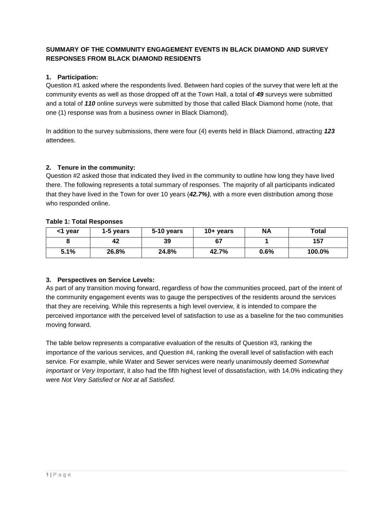## **SUMMARY OF THE COMMUNITY ENGAGEMENT EVENTS IN BLACK DIAMOND AND SURVEY RESPONSES FROM BLACK DIAMOND RESIDENTS**

### **1. Participation:**

Question #1 asked where the respondents lived. Between hard copies of the survey that were left at the community events as well as those dropped off at the Town Hall, a total of *49* surveys were submitted and a total of *110* online surveys were submitted by those that called Black Diamond home (note, that one (1) response was from a business owner in Black Diamond).

In addition to the survey submissions, there were four (4) events held in Black Diamond, attracting *123* attendees.

#### **2. Tenure in the community:**

Question #2 asked those that indicated they lived in the community to outline how long they have lived there. The following represents a total summary of responses. The majority of all participants indicated that they have lived in the Town for over 10 years (*42.7%)*, with a more even distribution among those who responded online.

#### **Table 1: Total Responses**

| <1 year | 1-5 years | 5-10 years | $10 + \text{years}$ | <b>NA</b> | Total  |
|---------|-----------|------------|---------------------|-----------|--------|
|         | 42        | 39         | cэ<br>ו ס           |           | 157    |
| 5.1%    | 26.8%     | 24.8%      | 42.7%               | 0.6%      | 100.0% |

#### **3. Perspectives on Service Levels:**

As part of any transition moving forward, regardless of how the communities proceed, part of the intent of the community engagement events was to gauge the perspectives of the residents around the services that they are receiving. While this represents a high level overview, it is intended to compare the perceived importance with the perceived level of satisfaction to use as a baseline for the two communities moving forward.

The table below represents a comparative evaluation of the results of Question #3, ranking the importance of the various services, and Question #4, ranking the overall level of satisfaction with each service. For example, while Water and Sewer services were nearly unanimously deemed *Somewhat important* or *Very Important*, it also had the fifth highest level of dissatisfaction, with 14.0% indicating they were *Not Very Satisfied* or *Not at all Satisfied.*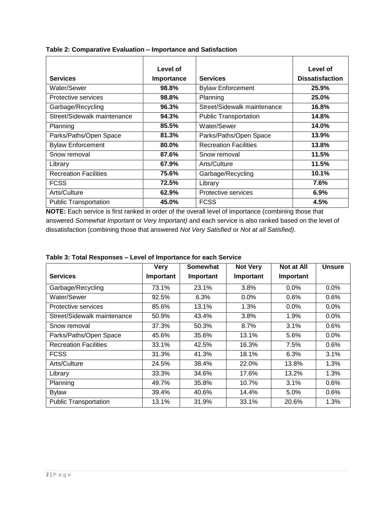|                              | Level of   |                              | Level of               |
|------------------------------|------------|------------------------------|------------------------|
| <b>Services</b>              | Importance | <b>Services</b>              | <b>Dissatisfaction</b> |
| Water/Sewer                  | 98.8%      | <b>Bylaw Enforcement</b>     | 25.9%                  |
| Protective services          | 98.8%      | Planning                     | 25.0%                  |
| Garbage/Recycling            | 96.3%      | Street/Sidewalk maintenance  | 16.8%                  |
| Street/Sidewalk maintenance  | 94.3%      | <b>Public Transportation</b> | 14.8%                  |
| Planning                     | 85.5%      | Water/Sewer                  | 14.0%                  |
| Parks/Paths/Open Space       | 81.3%      | Parks/Paths/Open Space       | 13.9%                  |
| <b>Bylaw Enforcement</b>     | 80.0%      | <b>Recreation Facilities</b> | 13.8%                  |
| Snow removal                 | 87.6%      | Snow removal                 | 11.5%                  |
| Library                      | 67.9%      | Arts/Culture                 | 11.5%                  |
| <b>Recreation Facilities</b> | 75.6%      | Garbage/Recycling            | 10.1%                  |
| <b>FCSS</b>                  | 72.5%      | Library                      | 7.6%                   |
| Arts/Culture                 | 62.9%      | Protective services          | 6.9%                   |
| <b>Public Transportation</b> | 45.0%      | <b>FCSS</b>                  | 4.5%                   |

**Table 2: Comparative Evaluation – Importance and Satisfaction** 

**NOTE:** Each service is first ranked in order of the overall level of importance (combining those that answered *Somewhat Important* or *Very Important)* and each service is also ranked based on the level of dissatisfaction (combining those that answered *Not Very Satisfied* or *Not at all Satisfied)*.

|                              | <b>Very</b> | <b>Somewhat</b> | <b>Not Very</b> | <b>Not at All</b> | <b>Unsure</b> |
|------------------------------|-------------|-----------------|-----------------|-------------------|---------------|
| <b>Services</b>              | Important   | Important       | Important       | Important         |               |
| Garbage/Recycling            | 73.1%       | 23.1%           | 3.8%            | 0.0%              | 0.0%          |
| Water/Sewer                  | 92.5%       | 6.3%            | 0.0%            | 0.6%              | 0.6%          |
| Protective services          | 85.6%       | 13.1%           | 1.3%            | $0.0\%$           | $0.0\%$       |
| Street/Sidewalk maintenance  | 50.9%       | 43.4%           | 3.8%            | 1.9%              | 0.0%          |
| Snow removal                 | 37.3%       | 50.3%           | 8.7%            | 3.1%              | 0.6%          |
| Parks/Paths/Open Space       | 45.6%       | 35.6%           | 13.1%           | 5.6%              | 0.0%          |
| <b>Recreation Facilities</b> | 33.1%       | 42.5%           | 16.3%           | 7.5%              | 0.6%          |
| <b>FCSS</b>                  | 31.3%       | 41.3%           | 18.1%           | 6.3%              | 3.1%          |
| Arts/Culture                 | 24.5%       | 38.4%           | 22.0%           | 13.8%             | 1.3%          |
| Library                      | 33.3%       | 34.6%           | 17.6%           | 13.2%             | 1.3%          |
| Planning                     | 49.7%       | 35.8%           | 10.7%           | 3.1%              | 0.6%          |
| <b>Bylaw</b>                 | 39.4%       | 40.6%           | 14.4%           | 5.0%              | 0.6%          |
| <b>Public Transportation</b> | 13.1%       | 31.9%           | 33.1%           | 20.6%             | 1.3%          |

### **Table 3: Total Responses – Level of Importance for each Service**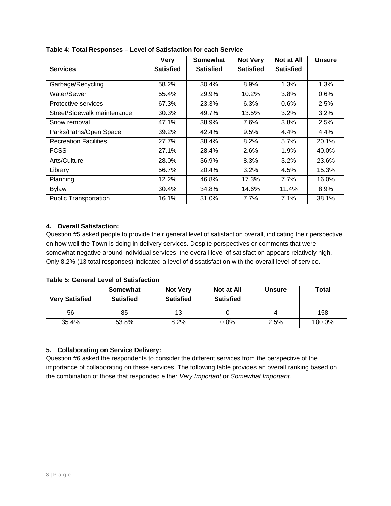|                              | <b>Very</b>      | Somewhat         | <b>Not Very</b>  | <b>Not at All</b> | <b>Unsure</b> |
|------------------------------|------------------|------------------|------------------|-------------------|---------------|
| <b>Services</b>              | <b>Satisfied</b> | <b>Satisfied</b> | <b>Satisfied</b> | <b>Satisfied</b>  |               |
|                              |                  |                  |                  |                   |               |
| Garbage/Recycling            | 58.2%            | 30.4%            | 8.9%             | 1.3%              | 1.3%          |
| Water/Sewer                  | 55.4%            | 29.9%            | 10.2%            | 3.8%              | 0.6%          |
| Protective services          | 67.3%            | 23.3%            | 6.3%             | 0.6%              | 2.5%          |
| Street/Sidewalk maintenance  | 30.3%            | 49.7%            | 13.5%            | 3.2%              | 3.2%          |
| Snow removal                 | 47.1%            | 38.9%            | 7.6%             | 3.8%              | 2.5%          |
| Parks/Paths/Open Space       | 39.2%            | 42.4%            | 9.5%             | 4.4%              | 4.4%          |
| <b>Recreation Facilities</b> | 27.7%            | 38.4%            | 8.2%             | 5.7%              | 20.1%         |
| <b>FCSS</b>                  | 27.1%            | 28.4%            | 2.6%             | 1.9%              | 40.0%         |
| Arts/Culture                 | 28.0%            | 36.9%            | 8.3%             | 3.2%              | 23.6%         |
| Library                      | 56.7%            | 20.4%            | 3.2%             | 4.5%              | 15.3%         |
| Planning                     | 12.2%            | 46.8%            | 17.3%            | 7.7%              | 16.0%         |
| <b>Bylaw</b>                 | 30.4%            | 34.8%            | 14.6%            | 11.4%             | 8.9%          |
| <b>Public Transportation</b> | 16.1%            | 31.0%            | 7.7%             | 7.1%              | 38.1%         |

**Table 4: Total Responses – Level of Satisfaction for each Service** 

### **4. Overall Satisfaction:**

Question #5 asked people to provide their general level of satisfaction overall, indicating their perspective on how well the Town is doing in delivery services. Despite perspectives or comments that were somewhat negative around individual services, the overall level of satisfaction appears relatively high. Only 8.2% (13 total responses) indicated a level of dissatisfaction with the overall level of service.

### **Table 5: General Level of Satisfaction**

| <b>Very Satisfied</b> | Somewhat<br><b>Satisfied</b> | <b>Not Very</b><br><b>Satisfied</b> | Not at All<br><b>Satisfied</b> | <b>Unsure</b> | Total  |
|-----------------------|------------------------------|-------------------------------------|--------------------------------|---------------|--------|
| 56                    | 85                           | 13                                  |                                |               | 158    |
| 35.4%                 | 53.8%                        | 8.2%                                | $0.0\%$                        | 2.5%          | 100.0% |

### **5. Collaborating on Service Delivery:**

Question #6 asked the respondents to consider the different services from the perspective of the importance of collaborating on these services. The following table provides an overall ranking based on the combination of those that responded either *Very Important* or *Somewhat Important*.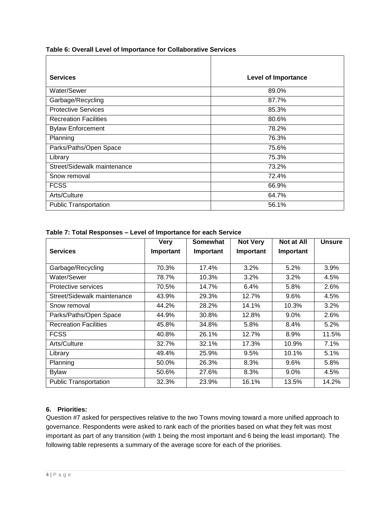**Table 6: Overall Level of Importance for Collaborative Services** 

| <b>Services</b>              | <b>Level of Importance</b> |
|------------------------------|----------------------------|
| Water/Sewer                  | 89.0%                      |
| Garbage/Recycling            | 87.7%                      |
| <b>Protective Services</b>   | 85.3%                      |
| <b>Recreation Facilities</b> | 80.6%                      |
| <b>Bylaw Enforcement</b>     | 78.2%                      |
| Planning                     | 76.3%                      |
| Parks/Paths/Open Space       | 75.6%                      |
| Library                      | 75.3%                      |
| Street/Sidewalk maintenance  | 73.2%                      |
| Snow removal                 | 72.4%                      |
| <b>FCSS</b>                  | 66.9%                      |
| Arts/Culture                 | 64.7%                      |
| <b>Public Transportation</b> | 56.1%                      |

**Table 7: Total Responses – Level of Importance for each Service** 

|                              | <b>Very</b> | Somewhat  | <b>Not Very</b> | <b>Not at All</b> | <b>Unsure</b> |
|------------------------------|-------------|-----------|-----------------|-------------------|---------------|
| <b>Services</b>              | Important   | Important | Important       | Important         |               |
|                              |             |           |                 |                   |               |
| Garbage/Recycling            | 70.3%       | 17.4%     | $3.2\%$         | 5.2%              | 3.9%          |
| Water/Sewer                  | 78.7%       | 10.3%     | 3.2%            | 3.2%              | 4.5%          |
| Protective services          | 70.5%       | 14.7%     | 6.4%            | 5.8%              | 2.6%          |
| Street/Sidewalk maintenance  | 43.9%       | 29.3%     | 12.7%           | $9.6\%$           | 4.5%          |
| Snow removal                 | 44.2%       | 28.2%     | 14.1%           | 10.3%             | 3.2%          |
| Parks/Paths/Open Space       | 44.9%       | 30.8%     | 12.8%           | $9.0\%$           | 2.6%          |
| <b>Recreation Facilities</b> | 45.8%       | 34.8%     | 5.8%            | 8.4%              | 5.2%          |
| <b>FCSS</b>                  | 40.8%       | 26.1%     | 12.7%           | 8.9%              | 11.5%         |
| Arts/Culture                 | 32.7%       | 32.1%     | 17.3%           | 10.9%             | 7.1%          |
| Library                      | 49.4%       | 25.9%     | 9.5%            | 10.1%             | 5.1%          |
| Planning                     | 50.0%       | 26.3%     | 8.3%            | 9.6%              | 5.8%          |
| <b>Bylaw</b>                 | 50.6%       | 27.6%     | 8.3%            | $9.0\%$           | 4.5%          |
| <b>Public Transportation</b> | 32.3%       | 23.9%     | 16.1%           | 13.5%             | 14.2%         |

### **6. Priorities:**

Question #7 asked for perspectives relative to the two Towns moving toward a more unified approach to governance. Respondents were asked to rank each of the priorities based on what they felt was most important as part of any transition (with 1 being the most important and 6 being the least important). The following table represents a summary of the average score for each of the priorities.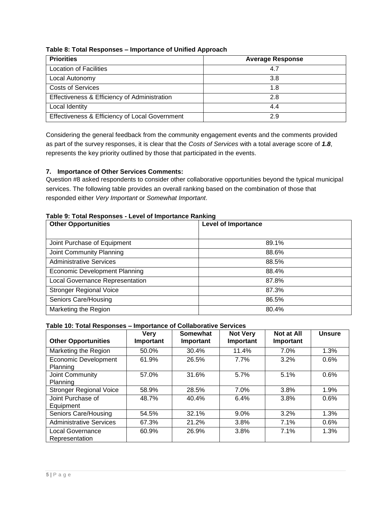| Table 8: Total Responses – importance of Unified Approach |                         |  |  |  |  |
|-----------------------------------------------------------|-------------------------|--|--|--|--|
| <b>Priorities</b>                                         | <b>Average Response</b> |  |  |  |  |
| <b>Location of Facilities</b>                             | 4.7                     |  |  |  |  |
| Local Autonomy                                            | 3.8                     |  |  |  |  |
| <b>Costs of Services</b>                                  | 1.8                     |  |  |  |  |
| Effectiveness & Efficiency of Administration              | 2.8                     |  |  |  |  |
| Local Identity                                            | 4.4                     |  |  |  |  |

Effectiveness & Efficiency of Local Government 2.9

# **Table 8: Total Responses – Importance of Unified Approach**

Considering the general feedback from the community engagement events and the comments provided as part of the survey responses, it is clear that the *Costs of Services* with a total average score of *1.8*, represents the key priority outlined by those that participated in the events.

### **7. Importance of Other Services Comments:**

Question #8 asked respondents to consider other collaborative opportunities beyond the typical municipal services. The following table provides an overall ranking based on the combination of those that responded either *Very Important* or *Somewhat Important*.

#### **Table 9: Total Responses - Level of Importance Ranking**

| <b>Other Opportunities</b>             | <b>Level of Importance</b> |
|----------------------------------------|----------------------------|
|                                        |                            |
| Joint Purchase of Equipment            | 89.1%                      |
| Joint Community Planning               | 88.6%                      |
| <b>Administrative Services</b>         | 88.5%                      |
| Economic Development Planning          | 88.4%                      |
| <b>Local Governance Representation</b> | 87.8%                      |
| <b>Stronger Regional Voice</b>         | 87.3%                      |
| Seniors Care/Housing                   | 86.5%                      |
| Marketing the Region                   | 80.4%                      |

#### **Table 10: Total Responses – Importance of Collaborative Services**

| <b>Other Opportunities</b>                | <b>Very</b><br>Important | <b>Somewhat</b><br>Important | <b>Not Very</b><br>Important | Not at All<br>Important | <b>Unsure</b> |
|-------------------------------------------|--------------------------|------------------------------|------------------------------|-------------------------|---------------|
| Marketing the Region                      | 50.0%                    | 30.4%                        | 11.4%                        | 7.0%                    | 1.3%          |
| <b>Economic Development</b><br>Planning   | 61.9%                    | 26.5%                        | 7.7%                         | 3.2%                    | 0.6%          |
| Joint Community<br>Planning               | 57.0%                    | 31.6%                        | 5.7%                         | 5.1%                    | 0.6%          |
| <b>Stronger Regional Voice</b>            | 58.9%                    | 28.5%                        | 7.0%                         | 3.8%                    | 1.9%          |
| Joint Purchase of<br>Equipment            | 48.7%                    | 40.4%                        | 6.4%                         | 3.8%                    | 0.6%          |
| Seniors Care/Housing                      | 54.5%                    | 32.1%                        | 9.0%                         | 3.2%                    | 1.3%          |
| <b>Administrative Services</b>            | 67.3%                    | 21.2%                        | 3.8%                         | 7.1%                    | 0.6%          |
| <b>Local Governance</b><br>Representation | 60.9%                    | 26.9%                        | 3.8%                         | 7.1%                    | 1.3%          |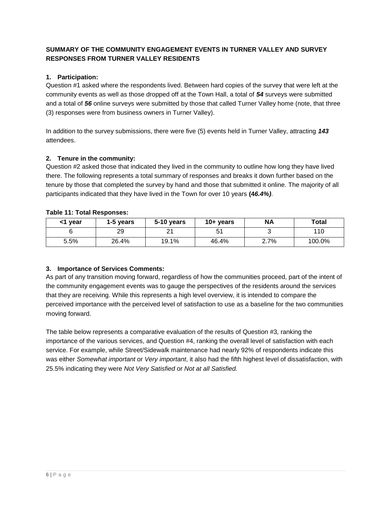## **SUMMARY OF THE COMMUNITY ENGAGEMENT EVENTS IN TURNER VALLEY AND SURVEY RESPONSES FROM TURNER VALLEY RESIDENTS**

### **1. Participation:**

Question #1 asked where the respondents lived. Between hard copies of the survey that were left at the community events as well as those dropped off at the Town Hall, a total of *54* surveys were submitted and a total of *56* online surveys were submitted by those that called Turner Valley home (note, that three (3) responses were from business owners in Turner Valley).

In addition to the survey submissions, there were five (5) events held in Turner Valley, attracting *143* attendees.

#### **2. Tenure in the community:**

Question #2 asked those that indicated they lived in the community to outline how long they have lived there. The following represents a total summary of responses and breaks it down further based on the tenure by those that completed the survey by hand and those that submitted it online. The majority of all participants indicated that they have lived in the Town for over 10 years **(4***6.4%)*.

|  |  |  | Table 11: Total Responses: |
|--|--|--|----------------------------|
|--|--|--|----------------------------|

| <1 year | 1-5 years | 5-10 years | $10 + \text{years}$ | ΝA   | Total  |
|---------|-----------|------------|---------------------|------|--------|
|         | 29        | <u>.</u>   | ا ت                 |      | 110    |
| 5.5%    | 26.4%     | 19.1%      | 46.4%               | 2.7% | 100.0% |

### **3. Importance of Services Comments:**

As part of any transition moving forward, regardless of how the communities proceed, part of the intent of the community engagement events was to gauge the perspectives of the residents around the services that they are receiving. While this represents a high level overview, it is intended to compare the perceived importance with the perceived level of satisfaction to use as a baseline for the two communities moving forward.

The table below represents a comparative evaluation of the results of Question #3, ranking the importance of the various services, and Question #4, ranking the overall level of satisfaction with each service. For example, while Street/Sidewalk maintenance had nearly 92% of respondents indicate this was either *Somewhat important* or *Very important*, it also had the fifth highest level of dissatisfaction, with 25.5% indicating they were *Not Very Satisfied* or *Not at all Satisfied.*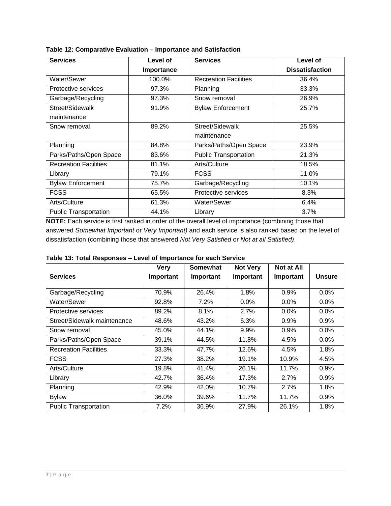| <b>Services</b>              | Level of   | <b>Services</b>              | Level of               |
|------------------------------|------------|------------------------------|------------------------|
|                              | Importance |                              | <b>Dissatisfaction</b> |
| Water/Sewer                  | 100.0%     | <b>Recreation Facilities</b> | 36.4%                  |
| Protective services          | 97.3%      | Planning                     | 33.3%                  |
| Garbage/Recycling            | 97.3%      | Snow removal                 | 26.9%                  |
| Street/Sidewalk              | 91.9%      | <b>Bylaw Enforcement</b>     | 25.7%                  |
| maintenance                  |            |                              |                        |
| Snow removal                 | 89.2%      | Street/Sidewalk              | 25.5%                  |
|                              |            | maintenance                  |                        |
| Planning                     | 84.8%      | Parks/Paths/Open Space       | 23.9%                  |
| Parks/Paths/Open Space       | 83.6%      | <b>Public Transportation</b> | 21.3%                  |
| <b>Recreation Facilities</b> | 81.1%      | Arts/Culture                 | 18.5%                  |
| Library                      | 79.1%      | <b>FCSS</b>                  | 11.0%                  |
| <b>Bylaw Enforcement</b>     | 75.7%      | Garbage/Recycling            | 10.1%                  |
| <b>FCSS</b>                  | 65.5%      | Protective services          | 8.3%                   |
| Arts/Culture                 | 61.3%      | Water/Sewer                  | 6.4%                   |
| <b>Public Transportation</b> | 44.1%      | Library                      | 3.7%                   |

**Table 12: Comparative Evaluation – Importance and Satisfaction** 

**NOTE:** Each service is first ranked in order of the overall level of importance (combining those that answered *Somewhat Important* or *Very Important)* and each service is also ranked based on the level of dissatisfaction (combining those that answered *Not Very Satisfied* or *Not at all Satisfied)*.

|                              | <b>Very</b> | <b>Somewhat</b> | <b>Not Very</b> | <b>Not at All</b> |               |
|------------------------------|-------------|-----------------|-----------------|-------------------|---------------|
| <b>Services</b>              | Important   | Important       | Important       | Important         | <b>Unsure</b> |
|                              |             |                 |                 |                   |               |
| Garbage/Recycling            | 70.9%       | 26.4%           | 1.8%            | 0.9%              | 0.0%          |
| Water/Sewer                  | 92.8%       | 7.2%            | 0.0%            | 0.0%              | 0.0%          |
| Protective services          | 89.2%       | 8.1%            | 2.7%            | 0.0%              | 0.0%          |
| Street/Sidewalk maintenance  | 48.6%       | 43.2%           | 6.3%            | 0.9%              | 0.9%          |
| Snow removal                 | 45.0%       | 44.1%           | 9.9%            | 0.9%              | 0.0%          |
| Parks/Paths/Open Space       | 39.1%       | 44.5%           | 11.8%           | 4.5%              | 0.0%          |
| <b>Recreation Facilities</b> | 33.3%       | 47.7%           | 12.6%           | 4.5%              | 1.8%          |
| <b>FCSS</b>                  | 27.3%       | 38.2%           | 19.1%           | 10.9%             | 4.5%          |
| Arts/Culture                 | 19.8%       | 41.4%           | 26.1%           | 11.7%             | 0.9%          |
| Library                      | 42.7%       | 36.4%           | 17.3%           | 2.7%              | 0.9%          |
| Planning                     | 42.9%       | 42.0%           | 10.7%           | 2.7%              | 1.8%          |
| <b>Bylaw</b>                 | 36.0%       | 39.6%           | 11.7%           | 11.7%             | 0.9%          |
| <b>Public Transportation</b> | 7.2%        | 36.9%           | 27.9%           | 26.1%             | 1.8%          |

| Table 13: Total Responses - Level of Importance for each Service |
|------------------------------------------------------------------|
|------------------------------------------------------------------|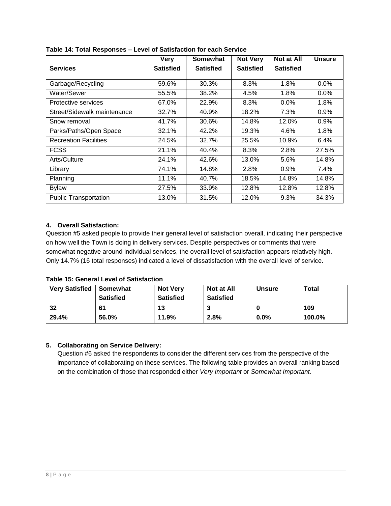|                              | <b>Very</b>      | <b>Somewhat</b>  | <b>Not Very</b>  | Not at All       | <b>Unsure</b> |
|------------------------------|------------------|------------------|------------------|------------------|---------------|
| <b>Services</b>              | <b>Satisfied</b> | <b>Satisfied</b> | <b>Satisfied</b> | <b>Satisfied</b> |               |
| Garbage/Recycling            | 59.6%            | 30.3%            | 8.3%             | 1.8%             | 0.0%          |
| Water/Sewer                  | 55.5%            | 38.2%            | 4.5%             | 1.8%             | $0.0\%$       |
| Protective services          | 67.0%            | 22.9%            | 8.3%             | 0.0%             | 1.8%          |
| Street/Sidewalk maintenance  | 32.7%            | 40.9%            | 18.2%            | 7.3%             | 0.9%          |
| Snow removal                 | 41.7%            | 30.6%            | 14.8%            | 12.0%            | 0.9%          |
| Parks/Paths/Open Space       | 32.1%            | 42.2%            | 19.3%            | 4.6%             | 1.8%          |
| <b>Recreation Facilities</b> | 24.5%            | 32.7%            | 25.5%            | 10.9%            | 6.4%          |
| <b>FCSS</b>                  | 21.1%            | 40.4%            | 8.3%             | 2.8%             | 27.5%         |
| Arts/Culture                 | 24.1%            | 42.6%            | 13.0%            | 5.6%             | 14.8%         |
| Library                      | 74.1%            | 14.8%            | 2.8%             | 0.9%             | 7.4%          |
| Planning                     | 11.1%            | 40.7%            | 18.5%            | 14.8%            | 14.8%         |
| <b>Bylaw</b>                 | 27.5%            | 33.9%            | 12.8%            | 12.8%            | 12.8%         |
| <b>Public Transportation</b> | 13.0%            | 31.5%            | 12.0%            | 9.3%             | 34.3%         |

**Table 14: Total Responses – Level of Satisfaction for each Service** 

### **4. Overall Satisfaction:**

Question #5 asked people to provide their general level of satisfaction overall, indicating their perspective on how well the Town is doing in delivery services. Despite perspectives or comments that were somewhat negative around individual services, the overall level of satisfaction appears relatively high. Only 14.7% (16 total responses) indicated a level of dissatisfaction with the overall level of service.

### **Table 15: General Level of Satisfaction**

| <b>Very Satisfied</b> | Somewhat         | <b>Not Very</b>  | Not at All       | <b>Unsure</b> | <b>Total</b> |
|-----------------------|------------------|------------------|------------------|---------------|--------------|
|                       | <b>Satisfied</b> | <b>Satisfied</b> | <b>Satisfied</b> |               |              |
| 32                    | 61               | 13               |                  |               | 109          |
| 29.4%                 | 56.0%            | 11.9%            | 2.8%             | $0.0\%$       | 100.0%       |

### **5. Collaborating on Service Delivery:**

Question #6 asked the respondents to consider the different services from the perspective of the importance of collaborating on these services. The following table provides an overall ranking based on the combination of those that responded either *Very Important* or *Somewhat Important*.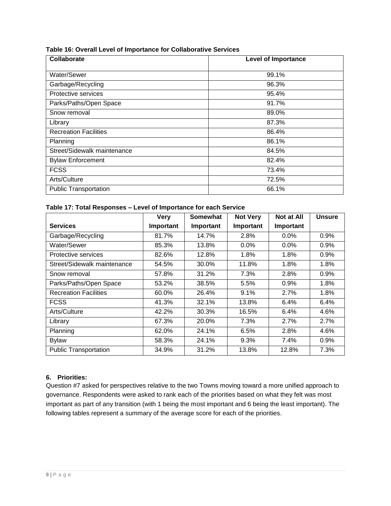| Table 16: Overall Level of Importance for Collaborative Services |  |
|------------------------------------------------------------------|--|
|------------------------------------------------------------------|--|

| Collaborate                  | <b>Level of Importance</b> |
|------------------------------|----------------------------|
| Water/Sewer                  | 99.1%                      |
| Garbage/Recycling            | 96.3%                      |
| Protective services          | 95.4%                      |
| Parks/Paths/Open Space       | 91.7%                      |
| Snow removal                 | 89.0%                      |
| Library                      | 87.3%                      |
| <b>Recreation Facilities</b> | 86.4%                      |
| Planning                     | 86.1%                      |
| Street/Sidewalk maintenance  | 84.5%                      |
| <b>Bylaw Enforcement</b>     | 82.4%                      |
| <b>FCSS</b>                  | 73.4%                      |
| Arts/Culture                 | 72.5%                      |
| <b>Public Transportation</b> | 66.1%                      |

#### **Table 17: Total Responses – Level of Importance for each Service**

|                              | <b>Very</b> | Somewhat  | <b>Not Very</b> | <b>Not at All</b> | <b>Unsure</b> |
|------------------------------|-------------|-----------|-----------------|-------------------|---------------|
| <b>Services</b>              | Important   | Important | Important       | Important         |               |
| Garbage/Recycling            | 81.7%       | 14.7%     | 2.8%            | $0.0\%$           | 0.9%          |
| Water/Sewer                  | 85.3%       | 13.8%     | $0.0\%$         | $0.0\%$           | 0.9%          |
| Protective services          | 82.6%       | 12.8%     | 1.8%            | 1.8%              | 0.9%          |
| Street/Sidewalk maintenance  | 54.5%       | 30.0%     | 11.8%           | 1.8%              | 1.8%          |
| Snow removal                 | 57.8%       | 31.2%     | 7.3%            | 2.8%              | 0.9%          |
| Parks/Paths/Open Space       | 53.2%       | 38.5%     | 5.5%            | 0.9%              | 1.8%          |
| <b>Recreation Facilities</b> | 60.0%       | 26.4%     | 9.1%            | 2.7%              | 1.8%          |
| <b>FCSS</b>                  | 41.3%       | 32.1%     | 13.8%           | 6.4%              | 6.4%          |
| Arts/Culture                 | 42.2%       | 30.3%     | 16.5%           | 6.4%              | 4.6%          |
| Library                      | 67.3%       | 20.0%     | 7.3%            | 2.7%              | 2.7%          |
| Planning                     | 62.0%       | 24.1%     | 6.5%            | 2.8%              | 4.6%          |
| <b>Bylaw</b>                 | 58.3%       | 24.1%     | 9.3%            | 7.4%              | 0.9%          |
| <b>Public Transportation</b> | 34.9%       | 31.2%     | 13.8%           | 12.8%             | 7.3%          |

### **6. Priorities:**

Question #7 asked for perspectives relative to the two Towns moving toward a more unified approach to governance. Respondents were asked to rank each of the priorities based on what they felt was most important as part of any transition (with 1 being the most important and 6 being the least important). The following tables represent a summary of the average score for each of the priorities.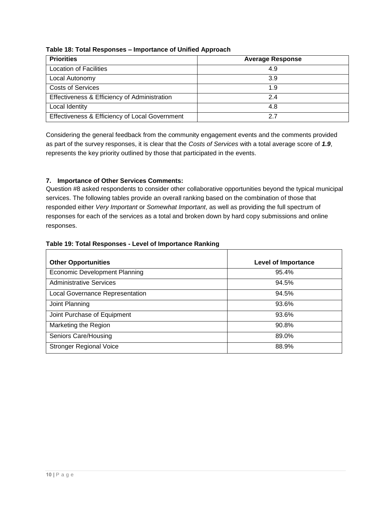| <b>Priorities</b>                              | <b>Average Response</b> |
|------------------------------------------------|-------------------------|
| <b>Location of Facilities</b>                  | 4.9                     |
| Local Autonomy                                 | 3.9                     |
| <b>Costs of Services</b>                       | 1.9                     |
| Effectiveness & Efficiency of Administration   | 2.4                     |
| Local Identity                                 | 4.8                     |
| Effectiveness & Efficiency of Local Government | 27                      |

**Table 18: Total Responses – Importance of Unified Approach** 

Considering the general feedback from the community engagement events and the comments provided as part of the survey responses, it is clear that the *Costs of Services* with a total average score of *1.9*, represents the key priority outlined by those that participated in the events.

# **7. Importance of Other Services Comments:**

Question #8 asked respondents to consider other collaborative opportunities beyond the typical municipal services. The following tables provide an overall ranking based on the combination of those that responded either *Very Important* or *Somewhat Important*, as well as providing the full spectrum of responses for each of the services as a total and broken down by hard copy submissions and online responses.

### **Table 19: Total Responses - Level of Importance Ranking**

| <b>Other Opportunities</b>             | <b>Level of Importance</b> |
|----------------------------------------|----------------------------|
| <b>Economic Development Planning</b>   | 95.4%                      |
| <b>Administrative Services</b>         | 94.5%                      |
| <b>Local Governance Representation</b> | 94.5%                      |
| Joint Planning                         | 93.6%                      |
| Joint Purchase of Equipment            | 93.6%                      |
| Marketing the Region                   | 90.8%                      |
| Seniors Care/Housing                   | 89.0%                      |
| <b>Stronger Regional Voice</b>         | 88.9%                      |